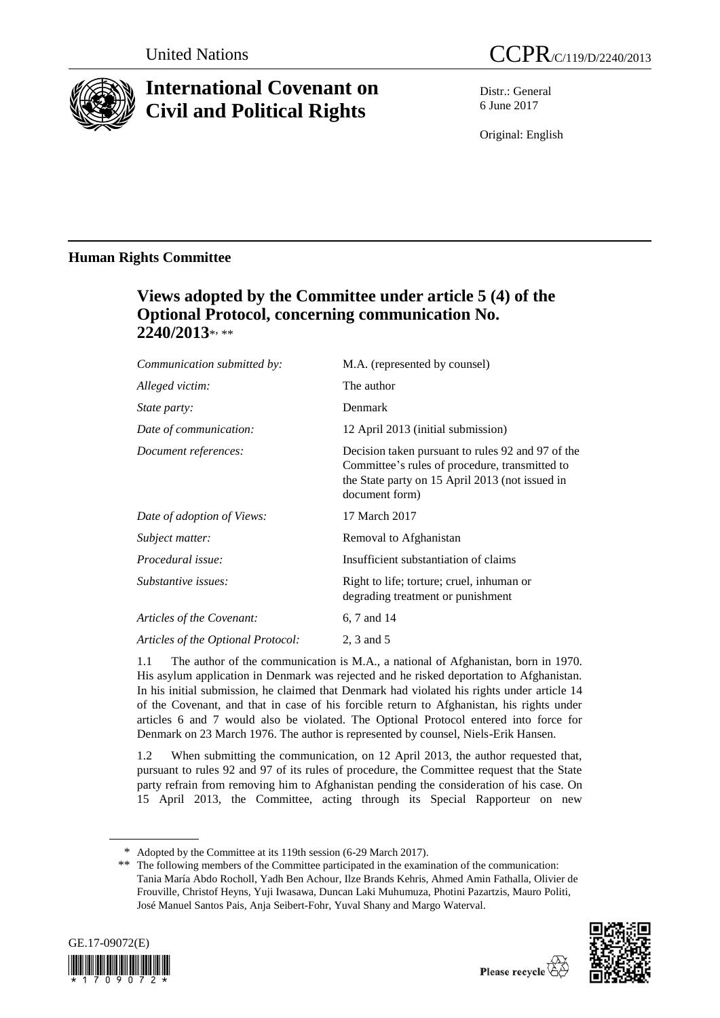

# **International Covenant on Civil and Political Rights**

Distr.: General 6 June 2017

Original: English

## **Human Rights Committee**

# **Views adopted by the Committee under article 5 (4) of the Optional Protocol, concerning communication No. 2240/2013**\* , \*\*

| M.A. (represented by counsel)                                                                                                                                            |
|--------------------------------------------------------------------------------------------------------------------------------------------------------------------------|
| The author                                                                                                                                                               |
| Denmark                                                                                                                                                                  |
| 12 April 2013 (initial submission)                                                                                                                                       |
| Decision taken pursuant to rules 92 and 97 of the<br>Committee's rules of procedure, transmitted to<br>the State party on 15 April 2013 (not issued in<br>document form) |
| 17 March 2017                                                                                                                                                            |
| Removal to Afghanistan                                                                                                                                                   |
| Insufficient substantiation of claims                                                                                                                                    |
| Right to life; torture; cruel, inhuman or<br>degrading treatment or punishment                                                                                           |
| 6, 7 and 14                                                                                                                                                              |
| 2, 3 and 5                                                                                                                                                               |
|                                                                                                                                                                          |

1.1 The author of the communication is M.A., a national of Afghanistan, born in 1970. His asylum application in Denmark was rejected and he risked deportation to Afghanistan. In his initial submission, he claimed that Denmark had violated his rights under article 14 of the Covenant, and that in case of his forcible return to Afghanistan, his rights under articles 6 and 7 would also be violated. The Optional Protocol entered into force for Denmark on 23 March 1976. The author is represented by counsel, Niels-Erik Hansen.

1.2 When submitting the communication, on 12 April 2013, the author requested that, pursuant to rules 92 and 97 of its rules of procedure, the Committee request that the State party refrain from removing him to Afghanistan pending the consideration of his case. On 15 April 2013, the Committee, acting through its Special Rapporteur on new

<sup>\*\*</sup> The following members of the Committee participated in the examination of the communication: Tania María Abdo Rocholl, Yadh Ben Achour, Ilze Brands Kehris, Ahmed Amin Fathalla, Olivier de Frouville, Christof Heyns, Yuji Iwasawa, Duncan Laki Muhumuza, Photini Pazartzis, Mauro Politi, José Manuel Santos Pais, Anja Seibert-Fohr, Yuval Shany and Margo Waterval.





<sup>\*</sup> Adopted by the Committee at its 119th session (6-29 March 2017).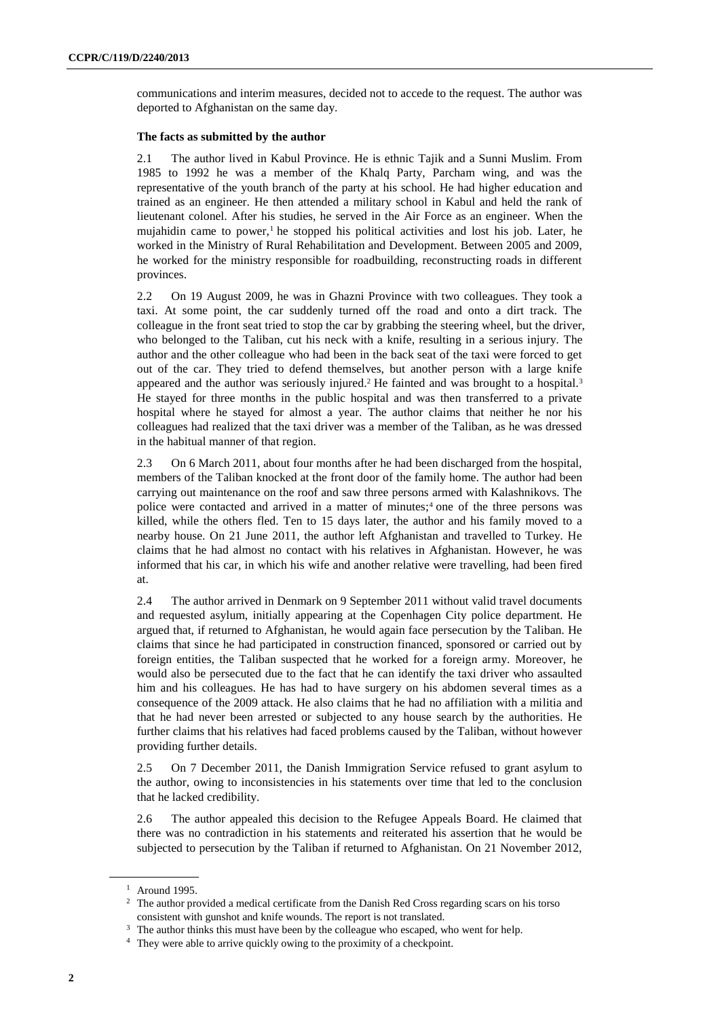communications and interim measures, decided not to accede to the request. The author was deported to Afghanistan on the same day.

#### **The facts as submitted by the author**

2.1 The author lived in Kabul Province. He is ethnic Tajik and a Sunni Muslim. From 1985 to 1992 he was a member of the Khalq Party, Parcham wing, and was the representative of the youth branch of the party at his school. He had higher education and trained as an engineer. He then attended a military school in Kabul and held the rank of lieutenant colonel. After his studies, he served in the Air Force as an engineer. When the mujahidin came to power,<sup>1</sup> he stopped his political activities and lost his job. Later, he worked in the Ministry of Rural Rehabilitation and Development. Between 2005 and 2009, he worked for the ministry responsible for roadbuilding, reconstructing roads in different provinces.

2.2 On 19 August 2009, he was in Ghazni Province with two colleagues. They took a taxi. At some point, the car suddenly turned off the road and onto a dirt track. The colleague in the front seat tried to stop the car by grabbing the steering wheel, but the driver, who belonged to the Taliban, cut his neck with a knife, resulting in a serious injury. The author and the other colleague who had been in the back seat of the taxi were forced to get out of the car. They tried to defend themselves, but another person with a large knife appeared and the author was seriously injured.<sup>2</sup> He fainted and was brought to a hospital.<sup>3</sup> He stayed for three months in the public hospital and was then transferred to a private hospital where he stayed for almost a year. The author claims that neither he nor his colleagues had realized that the taxi driver was a member of the Taliban, as he was dressed in the habitual manner of that region.

2.3 On 6 March 2011, about four months after he had been discharged from the hospital, members of the Taliban knocked at the front door of the family home. The author had been carrying out maintenance on the roof and saw three persons armed with Kalashnikovs. The police were contacted and arrived in a matter of minutes;<sup>4</sup> one of the three persons was killed, while the others fled. Ten to 15 days later, the author and his family moved to a nearby house. On 21 June 2011, the author left Afghanistan and travelled to Turkey. He claims that he had almost no contact with his relatives in Afghanistan. However, he was informed that his car, in which his wife and another relative were travelling, had been fired at.

2.4 The author arrived in Denmark on 9 September 2011 without valid travel documents and requested asylum, initially appearing at the Copenhagen City police department. He argued that, if returned to Afghanistan, he would again face persecution by the Taliban. He claims that since he had participated in construction financed, sponsored or carried out by foreign entities, the Taliban suspected that he worked for a foreign army. Moreover, he would also be persecuted due to the fact that he can identify the taxi driver who assaulted him and his colleagues. He has had to have surgery on his abdomen several times as a consequence of the 2009 attack. He also claims that he had no affiliation with a militia and that he had never been arrested or subjected to any house search by the authorities. He further claims that his relatives had faced problems caused by the Taliban, without however providing further details.

2.5 On 7 December 2011, the Danish Immigration Service refused to grant asylum to the author, owing to inconsistencies in his statements over time that led to the conclusion that he lacked credibility.

2.6 The author appealed this decision to the Refugee Appeals Board. He claimed that there was no contradiction in his statements and reiterated his assertion that he would be subjected to persecution by the Taliban if returned to Afghanistan. On 21 November 2012,

<sup>1</sup> Around 1995.

<sup>2</sup> The author provided a medical certificate from the Danish Red Cross regarding scars on his torso consistent with gunshot and knife wounds. The report is not translated.

<sup>&</sup>lt;sup>3</sup> The author thinks this must have been by the colleague who escaped, who went for help.

<sup>&</sup>lt;sup>4</sup> They were able to arrive quickly owing to the proximity of a checkpoint.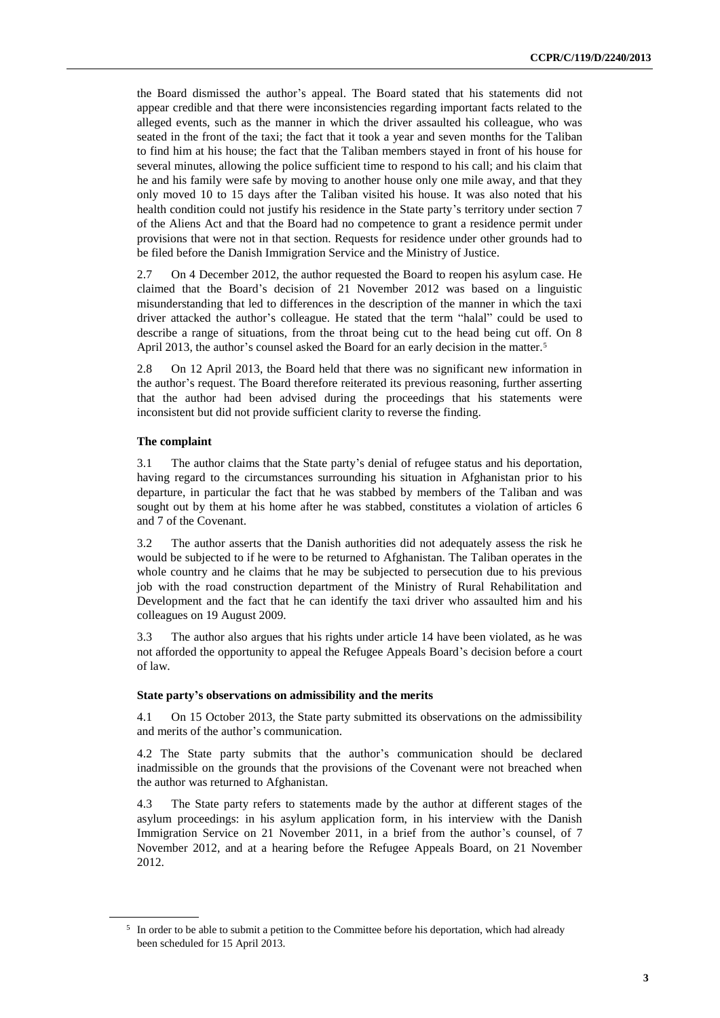the Board dismissed the author's appeal. The Board stated that his statements did not appear credible and that there were inconsistencies regarding important facts related to the alleged events, such as the manner in which the driver assaulted his colleague, who was seated in the front of the taxi; the fact that it took a year and seven months for the Taliban to find him at his house; the fact that the Taliban members stayed in front of his house for several minutes, allowing the police sufficient time to respond to his call; and his claim that he and his family were safe by moving to another house only one mile away, and that they only moved 10 to 15 days after the Taliban visited his house. It was also noted that his health condition could not justify his residence in the State party's territory under section 7 of the Aliens Act and that the Board had no competence to grant a residence permit under provisions that were not in that section. Requests for residence under other grounds had to be filed before the Danish Immigration Service and the Ministry of Justice.

2.7 On 4 December 2012, the author requested the Board to reopen his asylum case. He claimed that the Board's decision of 21 November 2012 was based on a linguistic misunderstanding that led to differences in the description of the manner in which the taxi driver attacked the author's colleague. He stated that the term "halal" could be used to describe a range of situations, from the throat being cut to the head being cut off. On 8 April 2013, the author's counsel asked the Board for an early decision in the matter.<sup>5</sup>

2.8 On 12 April 2013, the Board held that there was no significant new information in the author's request. The Board therefore reiterated its previous reasoning, further asserting that the author had been advised during the proceedings that his statements were inconsistent but did not provide sufficient clarity to reverse the finding.

#### **The complaint**

3.1 The author claims that the State party's denial of refugee status and his deportation, having regard to the circumstances surrounding his situation in Afghanistan prior to his departure, in particular the fact that he was stabbed by members of the Taliban and was sought out by them at his home after he was stabbed, constitutes a violation of articles 6 and 7 of the Covenant.

3.2 The author asserts that the Danish authorities did not adequately assess the risk he would be subjected to if he were to be returned to Afghanistan. The Taliban operates in the whole country and he claims that he may be subjected to persecution due to his previous job with the road construction department of the Ministry of Rural Rehabilitation and Development and the fact that he can identify the taxi driver who assaulted him and his colleagues on 19 August 2009.

3.3 The author also argues that his rights under article 14 have been violated, as he was not afforded the opportunity to appeal the Refugee Appeals Board's decision before a court of law.

#### **State party's observations on admissibility and the merits**

4.1 On 15 October 2013, the State party submitted its observations on the admissibility and merits of the author's communication.

4.2 The State party submits that the author's communication should be declared inadmissible on the grounds that the provisions of the Covenant were not breached when the author was returned to Afghanistan.

The State party refers to statements made by the author at different stages of the asylum proceedings: in his asylum application form, in his interview with the Danish Immigration Service on 21 November 2011, in a brief from the author's counsel, of 7 November 2012, and at a hearing before the Refugee Appeals Board, on 21 November 2012.

<sup>&</sup>lt;sup>5</sup> In order to be able to submit a petition to the Committee before his deportation, which had already been scheduled for 15 April 2013.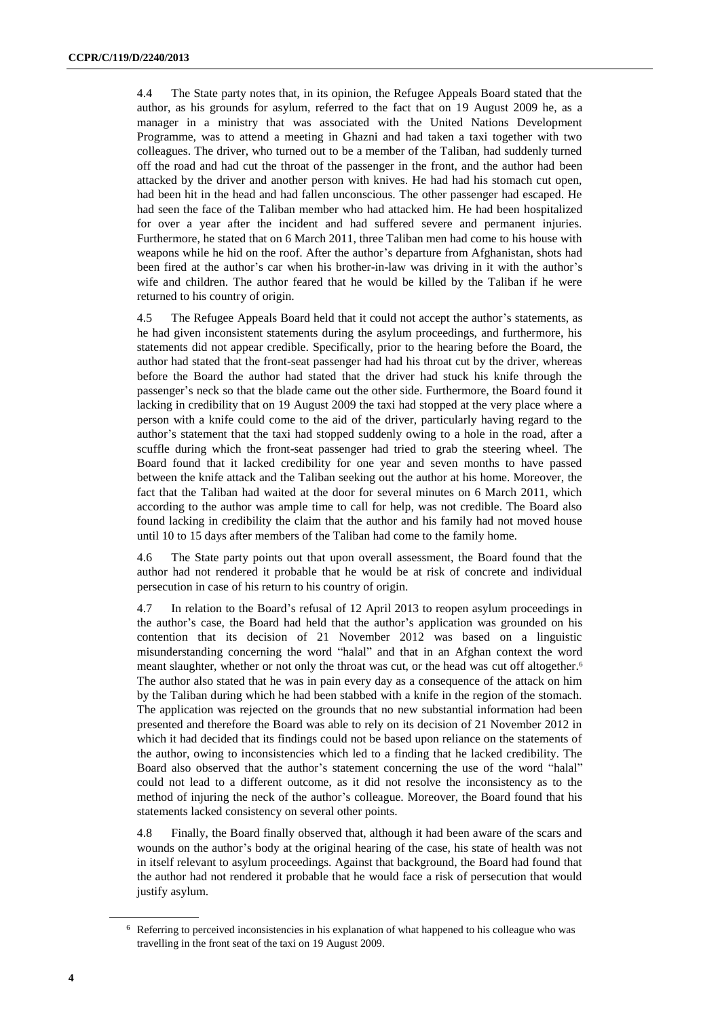4.4 The State party notes that, in its opinion, the Refugee Appeals Board stated that the author, as his grounds for asylum, referred to the fact that on 19 August 2009 he, as a manager in a ministry that was associated with the United Nations Development Programme, was to attend a meeting in Ghazni and had taken a taxi together with two colleagues. The driver, who turned out to be a member of the Taliban, had suddenly turned off the road and had cut the throat of the passenger in the front, and the author had been attacked by the driver and another person with knives. He had had his stomach cut open, had been hit in the head and had fallen unconscious. The other passenger had escaped. He had seen the face of the Taliban member who had attacked him. He had been hospitalized for over a year after the incident and had suffered severe and permanent injuries. Furthermore, he stated that on 6 March 2011, three Taliban men had come to his house with weapons while he hid on the roof. After the author's departure from Afghanistan, shots had been fired at the author's car when his brother-in-law was driving in it with the author's wife and children. The author feared that he would be killed by the Taliban if he were returned to his country of origin.

4.5 The Refugee Appeals Board held that it could not accept the author's statements, as he had given inconsistent statements during the asylum proceedings, and furthermore, his statements did not appear credible. Specifically, prior to the hearing before the Board, the author had stated that the front-seat passenger had had his throat cut by the driver, whereas before the Board the author had stated that the driver had stuck his knife through the passenger's neck so that the blade came out the other side. Furthermore, the Board found it lacking in credibility that on 19 August 2009 the taxi had stopped at the very place where a person with a knife could come to the aid of the driver, particularly having regard to the author's statement that the taxi had stopped suddenly owing to a hole in the road, after a scuffle during which the front-seat passenger had tried to grab the steering wheel. The Board found that it lacked credibility for one year and seven months to have passed between the knife attack and the Taliban seeking out the author at his home. Moreover, the fact that the Taliban had waited at the door for several minutes on 6 March 2011, which according to the author was ample time to call for help, was not credible. The Board also found lacking in credibility the claim that the author and his family had not moved house until 10 to 15 days after members of the Taliban had come to the family home.

4.6 The State party points out that upon overall assessment, the Board found that the author had not rendered it probable that he would be at risk of concrete and individual persecution in case of his return to his country of origin.

4.7 In relation to the Board's refusal of 12 April 2013 to reopen asylum proceedings in the author's case, the Board had held that the author's application was grounded on his contention that its decision of 21 November 2012 was based on a linguistic misunderstanding concerning the word "halal" and that in an Afghan context the word meant slaughter, whether or not only the throat was cut, or the head was cut off altogether.<sup>6</sup> The author also stated that he was in pain every day as a consequence of the attack on him by the Taliban during which he had been stabbed with a knife in the region of the stomach. The application was rejected on the grounds that no new substantial information had been presented and therefore the Board was able to rely on its decision of 21 November 2012 in which it had decided that its findings could not be based upon reliance on the statements of the author, owing to inconsistencies which led to a finding that he lacked credibility. The Board also observed that the author's statement concerning the use of the word "halal" could not lead to a different outcome, as it did not resolve the inconsistency as to the method of injuring the neck of the author's colleague. Moreover, the Board found that his statements lacked consistency on several other points.

4.8 Finally, the Board finally observed that, although it had been aware of the scars and wounds on the author's body at the original hearing of the case, his state of health was not in itself relevant to asylum proceedings. Against that background, the Board had found that the author had not rendered it probable that he would face a risk of persecution that would justify asylum.

<sup>6</sup> Referring to perceived inconsistencies in his explanation of what happened to his colleague who was travelling in the front seat of the taxi on 19 August 2009.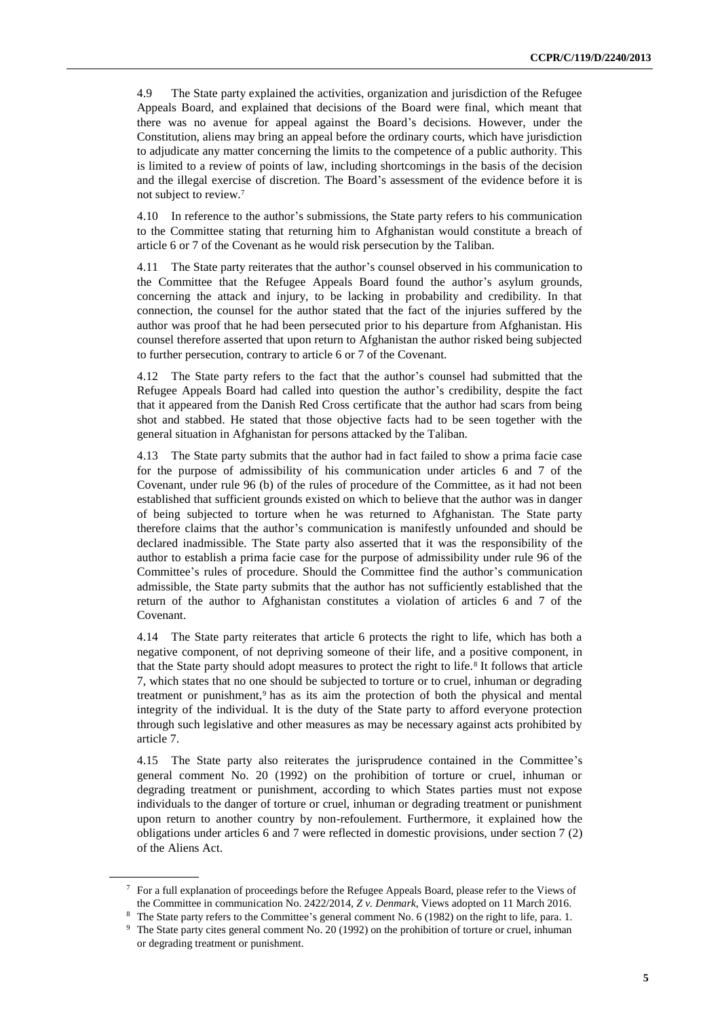4.9 The State party explained the activities, organization and jurisdiction of the Refugee Appeals Board, and explained that decisions of the Board were final, which meant that there was no avenue for appeal against the Board's decisions. However, under the Constitution, aliens may bring an appeal before the ordinary courts, which have jurisdiction to adjudicate any matter concerning the limits to the competence of a public authority. This is limited to a review of points of law, including shortcomings in the basis of the decision and the illegal exercise of discretion. The Board's assessment of the evidence before it is not subject to review.<sup>7</sup>

4.10 In reference to the author's submissions, the State party refers to his communication to the Committee stating that returning him to Afghanistan would constitute a breach of article 6 or 7 of the Covenant as he would risk persecution by the Taliban.

4.11 The State party reiterates that the author's counsel observed in his communication to the Committee that the Refugee Appeals Board found the author's asylum grounds, concerning the attack and injury, to be lacking in probability and credibility. In that connection, the counsel for the author stated that the fact of the injuries suffered by the author was proof that he had been persecuted prior to his departure from Afghanistan. His counsel therefore asserted that upon return to Afghanistan the author risked being subjected to further persecution, contrary to article 6 or 7 of the Covenant.

4.12 The State party refers to the fact that the author's counsel had submitted that the Refugee Appeals Board had called into question the author's credibility, despite the fact that it appeared from the Danish Red Cross certificate that the author had scars from being shot and stabbed. He stated that those objective facts had to be seen together with the general situation in Afghanistan for persons attacked by the Taliban.

4.13 The State party submits that the author had in fact failed to show a prima facie case for the purpose of admissibility of his communication under articles 6 and 7 of the Covenant, under rule 96 (b) of the rules of procedure of the Committee, as it had not been established that sufficient grounds existed on which to believe that the author was in danger of being subjected to torture when he was returned to Afghanistan. The State party therefore claims that the author's communication is manifestly unfounded and should be declared inadmissible. The State party also asserted that it was the responsibility of the author to establish a prima facie case for the purpose of admissibility under rule 96 of the Committee's rules of procedure. Should the Committee find the author's communication admissible, the State party submits that the author has not sufficiently established that the return of the author to Afghanistan constitutes a violation of articles 6 and 7 of the Covenant.

4.14 The State party reiterates that article 6 protects the right to life, which has both a negative component, of not depriving someone of their life, and a positive component, in that the State party should adopt measures to protect the right to life.<sup>8</sup> It follows that article 7, which states that no one should be subjected to torture or to cruel, inhuman or degrading treatment or punishment,<sup>9</sup> has as its aim the protection of both the physical and mental integrity of the individual. It is the duty of the State party to afford everyone protection through such legislative and other measures as may be necessary against acts prohibited by article 7.

4.15 The State party also reiterates the jurisprudence contained in the Committee's general comment No. 20 (1992) on the prohibition of torture or cruel, inhuman or degrading treatment or punishment, according to which States parties must not expose individuals to the danger of torture or cruel, inhuman or degrading treatment or punishment upon return to another country by non-refoulement. Furthermore, it explained how the obligations under articles 6 and 7 were reflected in domestic provisions, under section 7 (2) of the Aliens Act.

<sup>7</sup> For a full explanation of proceedings before the Refugee Appeals Board, please refer to the Views of the Committee in communication No. 2422/2014, *Z v. Denmark*, Views adopted on 11 March 2016.

<sup>8</sup> The State party refers to the Committee's general comment No. 6 (1982) on the right to life, para. 1.

<sup>&</sup>lt;sup>9</sup> The State party cites general comment No. 20 (1992) on the prohibition of torture or cruel, inhuman or degrading treatment or punishment.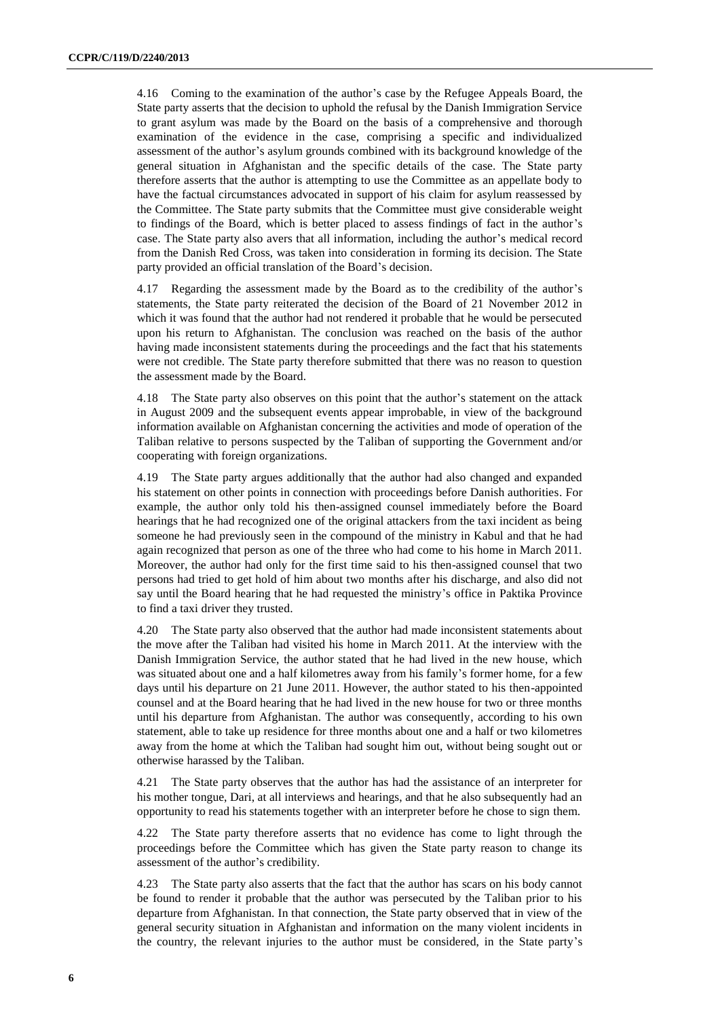4.16 Coming to the examination of the author's case by the Refugee Appeals Board, the State party asserts that the decision to uphold the refusal by the Danish Immigration Service to grant asylum was made by the Board on the basis of a comprehensive and thorough examination of the evidence in the case, comprising a specific and individualized assessment of the author's asylum grounds combined with its background knowledge of the general situation in Afghanistan and the specific details of the case. The State party therefore asserts that the author is attempting to use the Committee as an appellate body to have the factual circumstances advocated in support of his claim for asylum reassessed by the Committee. The State party submits that the Committee must give considerable weight to findings of the Board, which is better placed to assess findings of fact in the author's case. The State party also avers that all information, including the author's medical record from the Danish Red Cross, was taken into consideration in forming its decision. The State party provided an official translation of the Board's decision.

4.17 Regarding the assessment made by the Board as to the credibility of the author's statements, the State party reiterated the decision of the Board of 21 November 2012 in which it was found that the author had not rendered it probable that he would be persecuted upon his return to Afghanistan. The conclusion was reached on the basis of the author having made inconsistent statements during the proceedings and the fact that his statements were not credible. The State party therefore submitted that there was no reason to question the assessment made by the Board.

4.18 The State party also observes on this point that the author's statement on the attack in August 2009 and the subsequent events appear improbable, in view of the background information available on Afghanistan concerning the activities and mode of operation of the Taliban relative to persons suspected by the Taliban of supporting the Government and/or cooperating with foreign organizations.

4.19 The State party argues additionally that the author had also changed and expanded his statement on other points in connection with proceedings before Danish authorities. For example, the author only told his then-assigned counsel immediately before the Board hearings that he had recognized one of the original attackers from the taxi incident as being someone he had previously seen in the compound of the ministry in Kabul and that he had again recognized that person as one of the three who had come to his home in March 2011. Moreover, the author had only for the first time said to his then-assigned counsel that two persons had tried to get hold of him about two months after his discharge, and also did not say until the Board hearing that he had requested the ministry's office in Paktika Province to find a taxi driver they trusted.

4.20 The State party also observed that the author had made inconsistent statements about the move after the Taliban had visited his home in March 2011. At the interview with the Danish Immigration Service, the author stated that he had lived in the new house, which was situated about one and a half kilometres away from his family's former home, for a few days until his departure on 21 June 2011. However, the author stated to his then-appointed counsel and at the Board hearing that he had lived in the new house for two or three months until his departure from Afghanistan. The author was consequently, according to his own statement, able to take up residence for three months about one and a half or two kilometres away from the home at which the Taliban had sought him out, without being sought out or otherwise harassed by the Taliban.

4.21 The State party observes that the author has had the assistance of an interpreter for his mother tongue, Dari, at all interviews and hearings, and that he also subsequently had an opportunity to read his statements together with an interpreter before he chose to sign them.

4.22 The State party therefore asserts that no evidence has come to light through the proceedings before the Committee which has given the State party reason to change its assessment of the author's credibility.

4.23 The State party also asserts that the fact that the author has scars on his body cannot be found to render it probable that the author was persecuted by the Taliban prior to his departure from Afghanistan. In that connection, the State party observed that in view of the general security situation in Afghanistan and information on the many violent incidents in the country, the relevant injuries to the author must be considered, in the State party's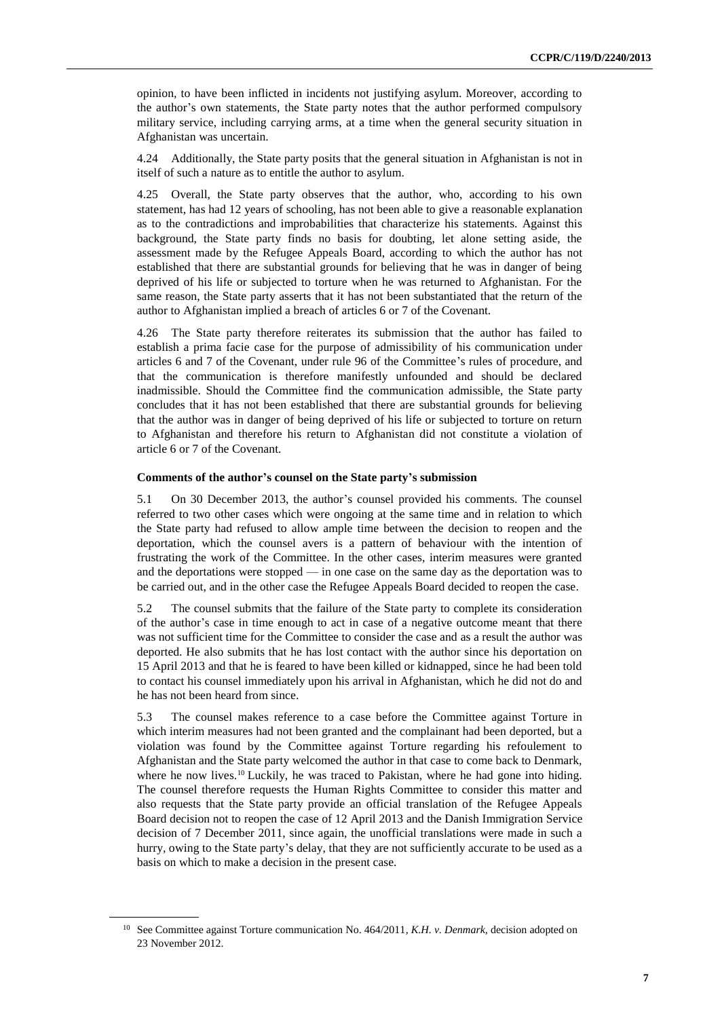opinion, to have been inflicted in incidents not justifying asylum. Moreover, according to the author's own statements, the State party notes that the author performed compulsory military service, including carrying arms, at a time when the general security situation in Afghanistan was uncertain.

4.24 Additionally, the State party posits that the general situation in Afghanistan is not in itself of such a nature as to entitle the author to asylum.

4.25 Overall, the State party observes that the author, who, according to his own statement, has had 12 years of schooling, has not been able to give a reasonable explanation as to the contradictions and improbabilities that characterize his statements. Against this background, the State party finds no basis for doubting, let alone setting aside, the assessment made by the Refugee Appeals Board, according to which the author has not established that there are substantial grounds for believing that he was in danger of being deprived of his life or subjected to torture when he was returned to Afghanistan. For the same reason, the State party asserts that it has not been substantiated that the return of the author to Afghanistan implied a breach of articles 6 or 7 of the Covenant.

4.26 The State party therefore reiterates its submission that the author has failed to establish a prima facie case for the purpose of admissibility of his communication under articles 6 and 7 of the Covenant, under rule 96 of the Committee's rules of procedure, and that the communication is therefore manifestly unfounded and should be declared inadmissible. Should the Committee find the communication admissible, the State party concludes that it has not been established that there are substantial grounds for believing that the author was in danger of being deprived of his life or subjected to torture on return to Afghanistan and therefore his return to Afghanistan did not constitute a violation of article 6 or 7 of the Covenant.

#### **Comments of the author's counsel on the State party's submission**

5.1 On 30 December 2013, the author's counsel provided his comments. The counsel referred to two other cases which were ongoing at the same time and in relation to which the State party had refused to allow ample time between the decision to reopen and the deportation, which the counsel avers is a pattern of behaviour with the intention of frustrating the work of the Committee. In the other cases, interim measures were granted and the deportations were stopped — in one case on the same day as the deportation was to be carried out, and in the other case the Refugee Appeals Board decided to reopen the case.

5.2 The counsel submits that the failure of the State party to complete its consideration of the author's case in time enough to act in case of a negative outcome meant that there was not sufficient time for the Committee to consider the case and as a result the author was deported. He also submits that he has lost contact with the author since his deportation on 15 April 2013 and that he is feared to have been killed or kidnapped, since he had been told to contact his counsel immediately upon his arrival in Afghanistan, which he did not do and he has not been heard from since.

5.3 The counsel makes reference to a case before the Committee against Torture in which interim measures had not been granted and the complainant had been deported, but a violation was found by the Committee against Torture regarding his refoulement to Afghanistan and the State party welcomed the author in that case to come back to Denmark, where he now lives.<sup>10</sup> Luckily, he was traced to Pakistan, where he had gone into hiding. The counsel therefore requests the Human Rights Committee to consider this matter and also requests that the State party provide an official translation of the Refugee Appeals Board decision not to reopen the case of 12 April 2013 and the Danish Immigration Service decision of 7 December 2011, since again, the unofficial translations were made in such a hurry, owing to the State party's delay, that they are not sufficiently accurate to be used as a basis on which to make a decision in the present case.

<sup>10</sup> See Committee against Torture communication No. 464/2011*, K.H. v. Denmark*, decision adopted on 23 November 2012.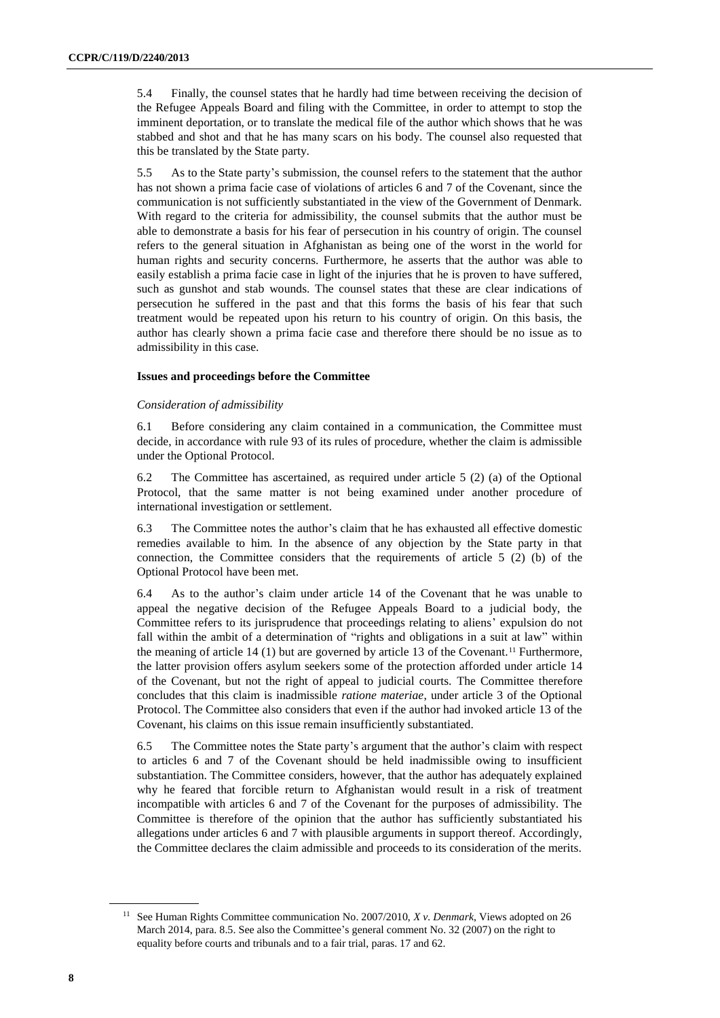5.4 Finally, the counsel states that he hardly had time between receiving the decision of the Refugee Appeals Board and filing with the Committee, in order to attempt to stop the imminent deportation, or to translate the medical file of the author which shows that he was stabbed and shot and that he has many scars on his body. The counsel also requested that this be translated by the State party.

5.5 As to the State party's submission, the counsel refers to the statement that the author has not shown a prima facie case of violations of articles 6 and 7 of the Covenant, since the communication is not sufficiently substantiated in the view of the Government of Denmark. With regard to the criteria for admissibility, the counsel submits that the author must be able to demonstrate a basis for his fear of persecution in his country of origin. The counsel refers to the general situation in Afghanistan as being one of the worst in the world for human rights and security concerns. Furthermore, he asserts that the author was able to easily establish a prima facie case in light of the injuries that he is proven to have suffered, such as gunshot and stab wounds. The counsel states that these are clear indications of persecution he suffered in the past and that this forms the basis of his fear that such treatment would be repeated upon his return to his country of origin. On this basis, the author has clearly shown a prima facie case and therefore there should be no issue as to admissibility in this case.

### **Issues and proceedings before the Committee**

### *Consideration of admissibility*

6.1 Before considering any claim contained in a communication, the Committee must decide, in accordance with rule 93 of its rules of procedure, whether the claim is admissible under the Optional Protocol.

6.2 The Committee has ascertained, as required under article 5 (2) (a) of the Optional Protocol, that the same matter is not being examined under another procedure of international investigation or settlement.

6.3 The Committee notes the author's claim that he has exhausted all effective domestic remedies available to him. In the absence of any objection by the State party in that connection, the Committee considers that the requirements of article 5 (2) (b) of the Optional Protocol have been met.

6.4 As to the author's claim under article 14 of the Covenant that he was unable to appeal the negative decision of the Refugee Appeals Board to a judicial body, the Committee refers to its jurisprudence that proceedings relating to aliens' expulsion do not fall within the ambit of a determination of "rights and obligations in a suit at law" within the meaning of article 14 (1) but are governed by article 13 of the Covenant.<sup>11</sup> Furthermore, the latter provision offers asylum seekers some of the protection afforded under article 14 of the Covenant, but not the right of appeal to judicial courts. The Committee therefore concludes that this claim is inadmissible *ratione materiae*, under article 3 of the Optional Protocol. The Committee also considers that even if the author had invoked article 13 of the Covenant, his claims on this issue remain insufficiently substantiated.

6.5 The Committee notes the State party's argument that the author's claim with respect to articles 6 and 7 of the Covenant should be held inadmissible owing to insufficient substantiation. The Committee considers, however, that the author has adequately explained why he feared that forcible return to Afghanistan would result in a risk of treatment incompatible with articles 6 and 7 of the Covenant for the purposes of admissibility. The Committee is therefore of the opinion that the author has sufficiently substantiated his allegations under articles 6 and 7 with plausible arguments in support thereof. Accordingly, the Committee declares the claim admissible and proceeds to its consideration of the merits.

<sup>11</sup> See Human Rights Committee communication No. 2007/2010, *X v. Denmark*, Views adopted on 26 March 2014, para. 8.5. See also the Committee's general comment No. 32 (2007) on the right to equality before courts and tribunals and to a fair trial, paras. 17 and 62.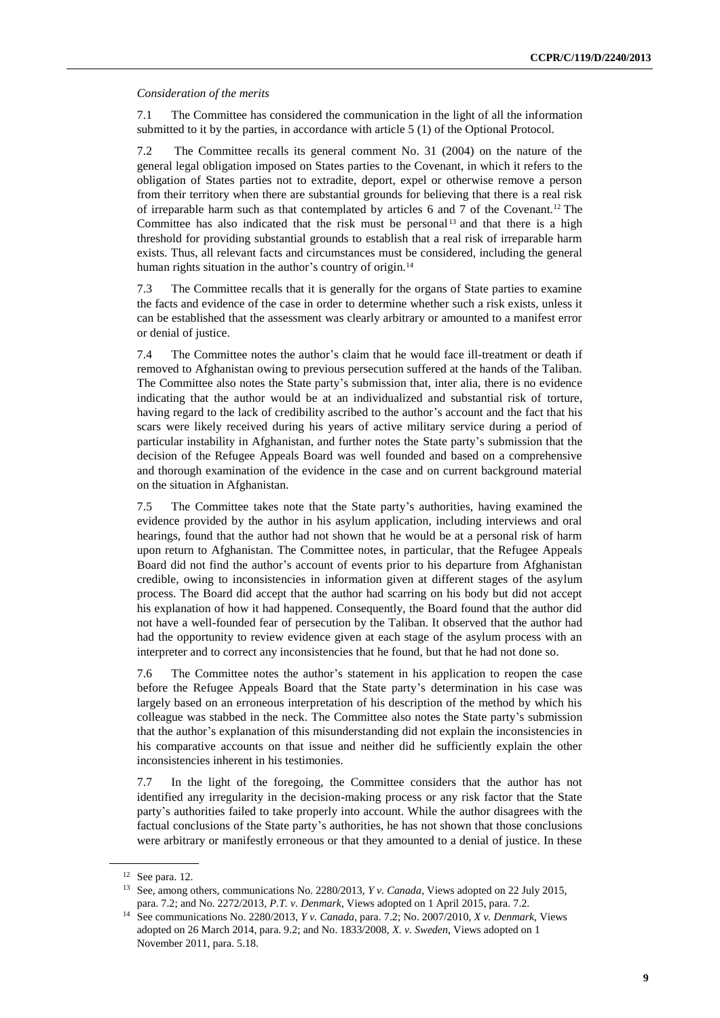#### *Consideration of the merits*

7.1 The Committee has considered the communication in the light of all the information submitted to it by the parties, in accordance with article 5 (1) of the Optional Protocol.

7.2 The Committee recalls its general comment No. 31 (2004) on the nature of the general legal obligation imposed on States parties to the Covenant, in which it refers to the obligation of States parties not to extradite, deport, expel or otherwise remove a person from their territory when there are substantial grounds for believing that there is a real risk of irreparable harm such as that contemplated by articles 6 and 7 of the Covenant.<sup>12</sup> The Committee has also indicated that the risk must be personal  $13$  and that there is a high threshold for providing substantial grounds to establish that a real risk of irreparable harm exists. Thus, all relevant facts and circumstances must be considered, including the general human rights situation in the author's country of origin.<sup>14</sup>

7.3 The Committee recalls that it is generally for the organs of State parties to examine the facts and evidence of the case in order to determine whether such a risk exists, unless it can be established that the assessment was clearly arbitrary or amounted to a manifest error or denial of justice.

7.4 The Committee notes the author's claim that he would face ill-treatment or death if removed to Afghanistan owing to previous persecution suffered at the hands of the Taliban. The Committee also notes the State party's submission that, inter alia, there is no evidence indicating that the author would be at an individualized and substantial risk of torture, having regard to the lack of credibility ascribed to the author's account and the fact that his scars were likely received during his years of active military service during a period of particular instability in Afghanistan, and further notes the State party's submission that the decision of the Refugee Appeals Board was well founded and based on a comprehensive and thorough examination of the evidence in the case and on current background material on the situation in Afghanistan.

7.5 The Committee takes note that the State party's authorities, having examined the evidence provided by the author in his asylum application, including interviews and oral hearings, found that the author had not shown that he would be at a personal risk of harm upon return to Afghanistan. The Committee notes, in particular, that the Refugee Appeals Board did not find the author's account of events prior to his departure from Afghanistan credible, owing to inconsistencies in information given at different stages of the asylum process. The Board did accept that the author had scarring on his body but did not accept his explanation of how it had happened. Consequently, the Board found that the author did not have a well-founded fear of persecution by the Taliban. It observed that the author had had the opportunity to review evidence given at each stage of the asylum process with an interpreter and to correct any inconsistencies that he found, but that he had not done so.

7.6 The Committee notes the author's statement in his application to reopen the case before the Refugee Appeals Board that the State party's determination in his case was largely based on an erroneous interpretation of his description of the method by which his colleague was stabbed in the neck. The Committee also notes the State party's submission that the author's explanation of this misunderstanding did not explain the inconsistencies in his comparative accounts on that issue and neither did he sufficiently explain the other inconsistencies inherent in his testimonies.

7.7 In the light of the foregoing, the Committee considers that the author has not identified any irregularity in the decision-making process or any risk factor that the State party's authorities failed to take properly into account. While the author disagrees with the factual conclusions of the State party's authorities, he has not shown that those conclusions were arbitrary or manifestly erroneous or that they amounted to a denial of justice. In these

 $12$  See para. 12.

<sup>13</sup> See, among others, communications No. 2280/2013, *Y v. Canada*, Views adopted on 22 July 2015, para. 7.2; and No. 2272/2013, *P.T. v. Denmark*, Views adopted on 1 April 2015, para. 7.2.

<sup>14</sup> See communications No. 2280/2013, *Y v. Canada*, para. 7.2; No. 2007/2010, *X v. Denmark*, Views adopted on 26 March 2014, para. 9.2; and No. 1833/2008, *X. v. Sweden*, Views adopted on 1 November 2011, para. 5.18.